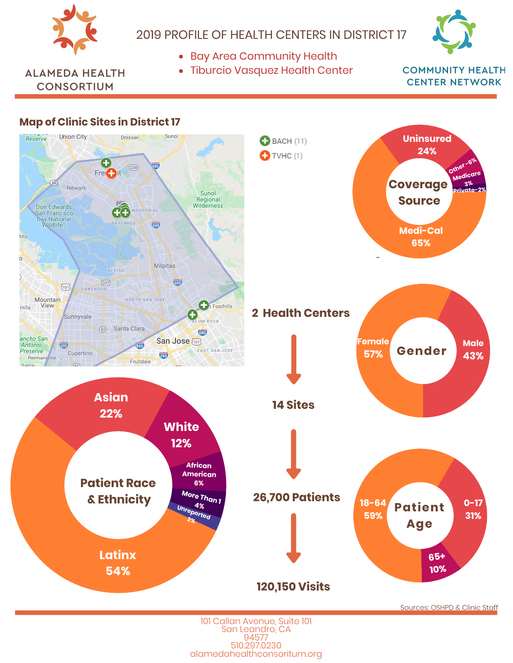

### 2019 PROFILE OF HEALTH CENTERS IN DISTRICT 17

- Bay Area Community Health
- Tiburcio Vasquez Health Center



**ALAMEDA HEALTH CONSORTIUM** 

Alto

Hills

**Map of Clinic Sites in District 17**

#### **COMMUNITY HEALTH CENTER NETWORK**

**Private-2%**

**Male 43%**

**Medica 3%**

**Oth** 

#### **Union City** Dresser Sunol Reserve **Uninsured**  $B$  BACH (11) **24%**  $\bullet$  TVHC (1)  $(238)$ Frei<sup>1</sup>  $\mathbb{Z}_4$ **Coverage** Newark Sunol **Source** Regional Wilderness Don Edwards **DIA** San Francisco **Early National**<br> **V**ildlife... **ILAND** क्र **Medi-Cal 65%** Milpitas ALVISO GID  $(237)$  $\widehat{101}$ LAKEWOOD Mountain NORTH SAN JOSE **View**  $\bigoplus$ t Foothills **2 Health Centers** Sunnyvale **MROCK** 82 Santa Clara 755 St 20 西 ancho San San Jose (101) F **Female Contract** Antonio<br>Preserve **RED**  $\sqrt{880}$ **Gender** EAST SAN JOSE Cupertino **57%** 280 Permand nte **A** Fruitdale Santa **Asian 14 Sites 22% White 12% African American Patient Race 6% More Than <sup>1</sup>** %95 **26,700 Patients & Ethnicity**  $\overline{a}$ 5 1 **18-64 Patient Un 4% reported 2%59% Age Latinx 54% 120,150 Visits**

101 Callan Avenue, Suite 101 San Leandro, CA 94577 510.297.0230 alamedahealthconsoritum.org Sources: OSHPD & Clinic Staff

20-64

**65+ 10%** **0-17 31%**